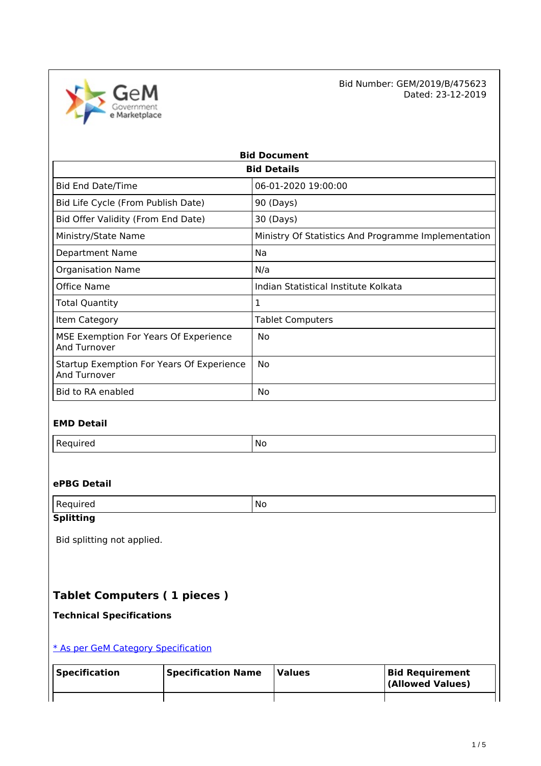

 $G$ e M<br>Bid Number: GEM/2019/B/475623 Dated: 23-12-2019

| <b>Bid Document</b>                                       |                                                     |  |  |
|-----------------------------------------------------------|-----------------------------------------------------|--|--|
| <b>Bid Details</b>                                        |                                                     |  |  |
| <b>Bid End Date/Time</b>                                  | 06-01-2020 19:00:00                                 |  |  |
| Bid Life Cycle (From Publish Date)                        | 90 (Days)                                           |  |  |
| Bid Offer Validity (From End Date)                        | 30 (Days)                                           |  |  |
| Ministry/State Name                                       | Ministry Of Statistics And Programme Implementation |  |  |
| <b>Department Name</b>                                    | Na                                                  |  |  |
| <b>Organisation Name</b>                                  | N/a                                                 |  |  |
| <b>Office Name</b>                                        | Indian Statistical Institute Kolkata                |  |  |
| <b>Total Quantity</b>                                     | 1                                                   |  |  |
| Item Category                                             | <b>Tablet Computers</b>                             |  |  |
| MSE Exemption For Years Of Experience<br>And Turnover     | No                                                  |  |  |
| Startup Exemption For Years Of Experience<br>And Turnover | No                                                  |  |  |
| Bid to RA enabled                                         | No                                                  |  |  |

| Required | No. |
|----------|-----|
|----------|-----|

## **ePBG Detail**

| -<br>nuirea<br>$\ddotsc$ | No<br>$\sim$ |
|--------------------------|--------------|
| $Chil$                   |              |

## **Splitting**

Bid splitting not applied.

## **Tablet Computers ( 1 pieces )**

**Technical Specifications**

[\\* As per GeM Category Specification](https://bidplus.gem.gov.in/bidding/bid/showCatalogue/LcHFtdO8oiyCDsi1loCBaIbTF96RYMWjhQJAn1MOvhI)

| <b>Specification</b> | <b>Specification Name</b> | <b>Values</b> | <b>Bid Requirement</b><br>(Allowed Values) |
|----------------------|---------------------------|---------------|--------------------------------------------|
|                      |                           |               |                                            |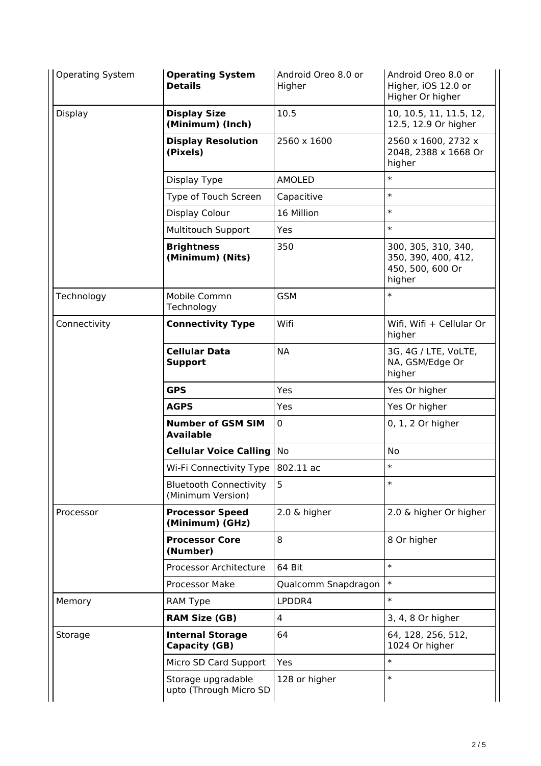| <b>Operating System</b> | <b>Operating System</b><br><b>Details</b>          | Android Oreo 8.0 or<br>Higher | Android Oreo 8.0 or<br>Higher, iOS 12.0 or<br>Higher Or higher           |
|-------------------------|----------------------------------------------------|-------------------------------|--------------------------------------------------------------------------|
| <b>Display</b>          | <b>Display Size</b><br>(Minimum) (Inch)            | 10.5                          | 10, 10.5, 11, 11.5, 12,<br>12.5, 12.9 Or higher                          |
|                         | <b>Display Resolution</b><br>(Pixels)              | 2560 x 1600                   | 2560 x 1600, 2732 x<br>2048, 2388 x 1668 Or<br>higher                    |
|                         | Display Type                                       | AMOLED                        | $\ast$                                                                   |
|                         | Type of Touch Screen                               | Capacitive                    | $\ast$                                                                   |
|                         | Display Colour                                     | 16 Million                    | $\ast$                                                                   |
|                         | Multitouch Support                                 | Yes                           | $\ast$                                                                   |
|                         | <b>Brightness</b><br>(Minimum) (Nits)              | 350                           | 300, 305, 310, 340,<br>350, 390, 400, 412,<br>450, 500, 600 Or<br>higher |
| Technology              | Mobile Commn<br>Technology                         | <b>GSM</b>                    | $\ast$                                                                   |
| Connectivity            | <b>Connectivity Type</b>                           | Wifi                          | Wifi, Wifi + Cellular Or<br>higher                                       |
|                         | <b>Cellular Data</b><br><b>Support</b>             | <b>NA</b>                     | 3G, 4G / LTE, VoLTE,<br>NA, GSM/Edge Or<br>higher                        |
|                         | <b>GPS</b>                                         | Yes                           | Yes Or higher                                                            |
|                         | <b>AGPS</b>                                        | Yes                           | Yes Or higher                                                            |
|                         | <b>Number of GSM SIM</b><br><b>Available</b>       | $\mathbf 0$                   | 0, 1, 2 Or higher                                                        |
|                         | <b>Cellular Voice Calling   No</b>                 |                               | <b>No</b>                                                                |
|                         | Wi-Fi Connectivity Type   802.11 ac                |                               | $\ast$                                                                   |
|                         | <b>Bluetooth Connectivity</b><br>(Minimum Version) | 5                             | $\ast$                                                                   |
| Processor               | <b>Processor Speed</b><br>(Minimum) (GHz)          | 2.0 & higher                  | 2.0 & higher Or higher                                                   |
|                         | <b>Processor Core</b><br>(Number)                  | 8                             | 8 Or higher                                                              |
|                         | Processor Architecture                             | 64 Bit                        | $\ast$                                                                   |
|                         | <b>Processor Make</b>                              | Qualcomm Snapdragon           | $\ast$                                                                   |
| Memory                  | <b>RAM Type</b>                                    | LPDDR4                        | $\ast$                                                                   |
|                         | <b>RAM Size (GB)</b>                               | $\overline{4}$                | 3, 4, 8 Or higher                                                        |
| Storage                 | <b>Internal Storage</b><br><b>Capacity (GB)</b>    | 64                            | 64, 128, 256, 512,<br>1024 Or higher                                     |
|                         | Micro SD Card Support                              | Yes                           | $\ast$                                                                   |
|                         | Storage upgradable<br>upto (Through Micro SD       | 128 or higher                 | $\ast$                                                                   |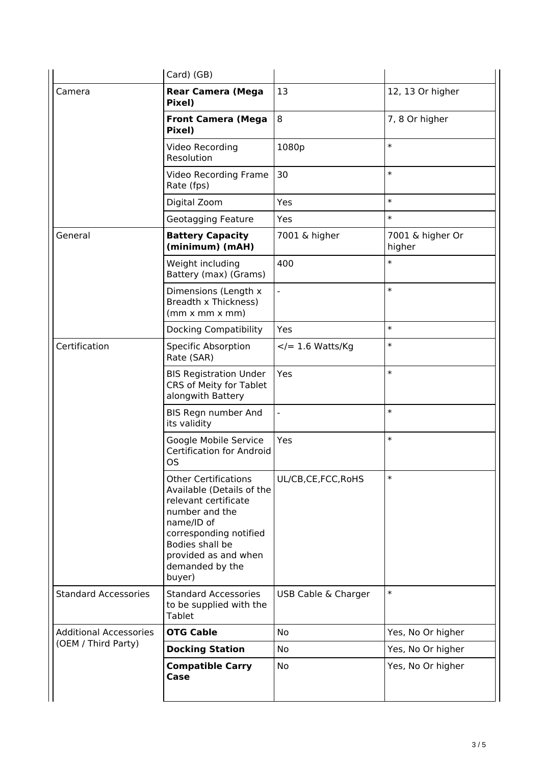|                               | Card) (GB)                                                                                                                                                                                                         |                                          |                            |
|-------------------------------|--------------------------------------------------------------------------------------------------------------------------------------------------------------------------------------------------------------------|------------------------------------------|----------------------------|
| Camera                        | <b>Rear Camera (Mega</b><br>Pixel)                                                                                                                                                                                 | 13                                       | 12, 13 Or higher           |
|                               | <b>Front Camera (Mega</b><br>Pixel)                                                                                                                                                                                | 8                                        | 7, 8 Or higher             |
|                               | Video Recording<br>Resolution                                                                                                                                                                                      | 1080p                                    | $\ast$                     |
|                               | Video Recording Frame<br>Rate (fps)                                                                                                                                                                                | 30                                       | $\ast$                     |
|                               | Digital Zoom                                                                                                                                                                                                       | Yes                                      | $\ast$                     |
|                               | Geotagging Feature                                                                                                                                                                                                 | Yes                                      | $\ast$                     |
| General                       | <b>Battery Capacity</b><br>(minimum) (mAH)                                                                                                                                                                         | 7001 & higher                            | 7001 & higher Or<br>higher |
|                               | Weight including<br>Battery (max) (Grams)                                                                                                                                                                          | 400                                      | $\ast$                     |
|                               | Dimensions (Length x<br>Breadth x Thickness)<br>(mm x mm x mm)                                                                                                                                                     | $\overline{\phantom{0}}$                 | $\ast$                     |
|                               | <b>Docking Compatibility</b>                                                                                                                                                                                       | Yes                                      | $\ast$                     |
| Certification                 | <b>Specific Absorption</b><br>Rate (SAR)                                                                                                                                                                           | $\langle = 1.6 \text{ Watts/Kg} \rangle$ | $\ast$                     |
|                               | <b>BIS Registration Under</b><br>CRS of Meity for Tablet<br>alongwith Battery                                                                                                                                      | Yes                                      | $\ast$                     |
|                               | BIS Regn number And<br>its validity                                                                                                                                                                                | -                                        | $\ast$                     |
|                               | Google Mobile Service<br><b>Certification for Android</b><br><b>OS</b>                                                                                                                                             | Yes                                      | $\ast$                     |
|                               | <b>Other Certifications</b><br>Available (Details of the<br>relevant certificate<br>number and the<br>name/ID of<br>corresponding notified<br>Bodies shall be<br>provided as and when<br>demanded by the<br>buyer) | UL/CB, CE, FCC, RoHS                     | $\ast$                     |
| <b>Standard Accessories</b>   | <b>Standard Accessories</b><br>to be supplied with the<br>Tablet                                                                                                                                                   | USB Cable & Charger                      | $\ast$                     |
| <b>Additional Accessories</b> | <b>OTG Cable</b>                                                                                                                                                                                                   | No                                       | Yes, No Or higher          |
| (OEM / Third Party)           | <b>Docking Station</b>                                                                                                                                                                                             | No                                       | Yes, No Or higher          |
|                               | <b>Compatible Carry</b><br>Case                                                                                                                                                                                    | No                                       | Yes, No Or higher          |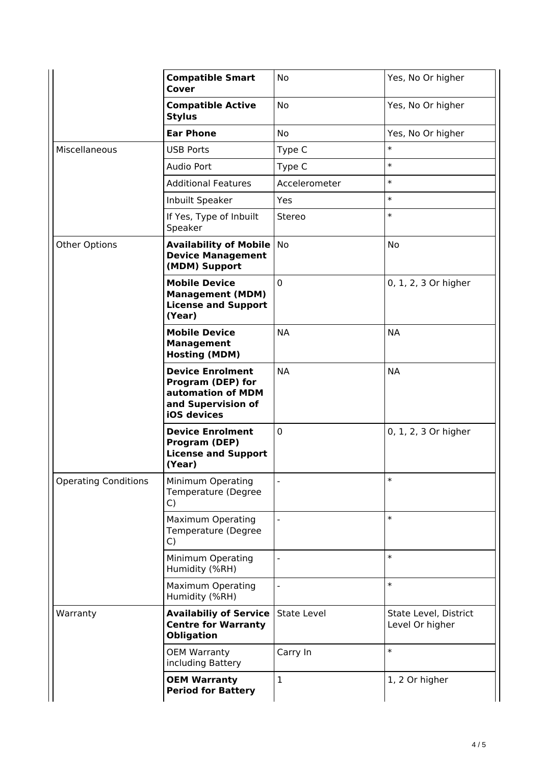|                             | <b>Compatible Smart</b><br><b>Cover</b>                                                                              | No                 | Yes, No Or higher                        |
|-----------------------------|----------------------------------------------------------------------------------------------------------------------|--------------------|------------------------------------------|
|                             | <b>Compatible Active</b><br><b>Stylus</b>                                                                            | No                 | Yes, No Or higher                        |
|                             | <b>Ear Phone</b>                                                                                                     | No                 | Yes, No Or higher                        |
| Miscellaneous               | <b>USB Ports</b>                                                                                                     | Type C             | $\ast$                                   |
|                             | Audio Port                                                                                                           | Type C             | $\ast$                                   |
|                             | <b>Additional Features</b>                                                                                           | Accelerometer      | $\ast$                                   |
|                             | Inbuilt Speaker                                                                                                      | Yes                | $\ast$                                   |
|                             | If Yes, Type of Inbuilt<br>Speaker                                                                                   | <b>Stereo</b>      | $\ast$                                   |
| <b>Other Options</b>        | <b>Availability of Mobile</b><br><b>Device Management</b><br>(MDM) Support                                           | No                 | <b>No</b>                                |
|                             | <b>Mobile Device</b><br><b>Management (MDM)</b><br><b>License and Support</b><br>(Year)                              | $\mathbf 0$        | 0, 1, 2, 3 Or higher                     |
|                             | <b>Mobile Device</b><br><b>Management</b><br><b>Hosting (MDM)</b>                                                    | <b>NA</b>          | <b>NA</b>                                |
|                             | <b>Device Enrolment</b><br><b>Program (DEP) for</b><br>automation of MDM<br>and Supervision of<br><b>iOS</b> devices | <b>NA</b>          | <b>NA</b>                                |
|                             | <b>Device Enrolment</b><br>Program (DEP)<br><b>License and Support</b><br>(Year)                                     | $\mathbf 0$        | 0, 1, 2, 3 Or higher                     |
| <b>Operating Conditions</b> | Minimum Operating<br>Temperature (Degree<br>$\mathsf{C}$                                                             |                    | $\ast$                                   |
|                             | <b>Maximum Operating</b><br>Temperature (Degree<br>$\mathsf{C}$                                                      |                    | $\ast$                                   |
|                             | Minimum Operating<br>Humidity (%RH)                                                                                  |                    | $\ast$                                   |
|                             | <b>Maximum Operating</b><br>Humidity (%RH)                                                                           | L,                 | $\ast$                                   |
| Warranty                    | <b>Availabiliy of Service</b><br><b>Centre for Warranty</b><br><b>Obligation</b>                                     | <b>State Level</b> | State Level, District<br>Level Or higher |
|                             | <b>OEM Warranty</b><br>including Battery                                                                             | Carry In           | $\ast$                                   |
|                             | <b>OEM Warranty</b><br><b>Period for Battery</b>                                                                     | $\mathbf 1$        | 1, 2 Or higher                           |